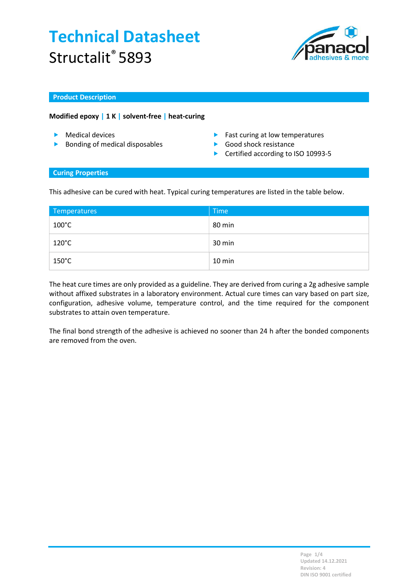

#### Product Description

### Modified epoxy | 1 K | solvent-free | heat-curing

- 
- **Bonding of medical disposables Bonding of medical disposables Bonding of medical disposables**
- ▶ Medical devices and the set of the Fast curing at low temperatures
	-
	- ▶ Certified according to ISO 10993-5

#### Curing Properties

This adhesive can be cured with heat. Typical curing temperatures are listed in the table below.

| Temperatures    | Time   |
|-----------------|--------|
| $100^{\circ}$ C | 80 min |
| $120^{\circ}$ C | 30 min |
| $150^{\circ}$ C | 10 min |

The heat cure times are only provided as a guideline. They are derived from curing a 2g adhesive sample without affixed substrates in a laboratory environment. Actual cure times can vary based on part size, configuration, adhesive volume, temperature control, and the time required for the component substrates to attain oven temperature.

The final bond strength of the adhesive is achieved no sooner than 24 h after the bonded components are removed from the oven.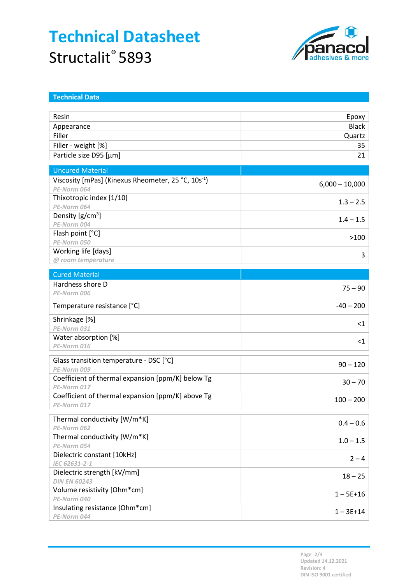

| <b>Technical Data</b>                                           |                  |
|-----------------------------------------------------------------|------------------|
|                                                                 |                  |
| Resin                                                           | Epoxy            |
| Appearance                                                      | <b>Black</b>     |
| Filler                                                          | Quartz           |
| Filler - weight [%]                                             | 35               |
| Particle size D95 [µm]                                          | 21               |
|                                                                 |                  |
| <b>Uncured Material</b>                                         |                  |
| Viscosity [mPas] (Kinexus Rheometer, 25 °C, 10s <sup>-1</sup> ) | $6,000 - 10,000$ |
| PE-Norm 064                                                     |                  |
| Thixotropic index [1/10]                                        | $1.3 - 2.5$      |
| PE-Norm 064                                                     |                  |
| Density [g/cm <sup>3</sup> ]                                    | $1.4 - 1.5$      |
| PE-Norm 004                                                     |                  |
| Flash point [°C]                                                | >100             |
| PE-Norm 050                                                     |                  |
| Working life [days]                                             | 3                |
| @ room temperature                                              |                  |
| <b>Cured Material</b>                                           |                  |
| Hardness shore D                                                | $75 - 90$        |
| PE-Norm 006                                                     |                  |
| Temperature resistance [°C]                                     | $-40 - 200$      |
| Shrinkage [%]                                                   |                  |
| PE-Norm 031                                                     | $<$ 1            |
| Water absorption [%]                                            | $<$ 1            |
| PE-Norm 016                                                     |                  |
| Glass transition temperature - DSC [°C]                         |                  |
| PE-Norm 009                                                     | $90 - 120$       |
| Coefficient of thermal expansion [ppm/K] below Tg               |                  |
| PE-Norm 017                                                     | $30 - 70$        |
| Coefficient of thermal expansion [ppm/K] above Tg               |                  |
| PE-Norm 017                                                     | $100 - 200$      |
| Thermal conductivity [W/m*K]                                    |                  |
| PE-Norm 062                                                     | $0.4 - 0.6$      |
| Thermal conductivity [W/m*K]                                    |                  |
| PE-Norm 054                                                     | $1.0 - 1.5$      |
| Dielectric constant [10kHz]                                     |                  |
| IEC 62631-2-1                                                   | $2 - 4$          |
| Dielectric strength [kV/mm]                                     |                  |
| <b>DIN EN 60243</b>                                             | $18 - 25$        |
| Volume resistivity [Ohm*cm]                                     |                  |
| PE-Norm 040                                                     | $1 - 5E + 16$    |
| Insulating resistance [Ohm*cm]                                  | $1 - 3E + 14$    |
| PE-Norm 044                                                     |                  |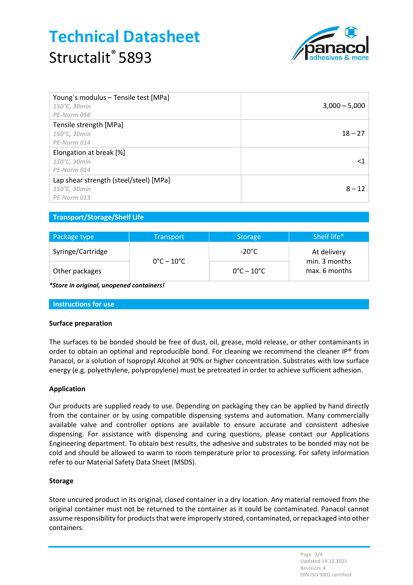

| Young's modulus - Tensile test [MPa]<br>150°C, 30min<br>PE-Norm 056   | $3,000 - 5,000$ |
|-----------------------------------------------------------------------|-----------------|
| Tensile strength [MPa]<br>150°C, 30min<br>PE-Norm 014                 | $18 - 27$       |
| Elongation at break [%]<br>150°C, 30min<br>PE-Norm 014                | <1              |
| Lap shear strength (steel/steel) [MPa]<br>150°C, 30min<br>PE-Norm 013 | $8 - 12$        |

## Transport/Storage/Shelf Life

| Package type      | <b>Transport</b>                | Storage                         | Shelf life*                                   |
|-------------------|---------------------------------|---------------------------------|-----------------------------------------------|
| Syringe/Cartridge | $0^{\circ}$ C – 10 $^{\circ}$ C | $-20^{\circ}$ C                 | At delivery<br>min. 3 months<br>max. 6 months |
| Other packages    |                                 | $0^{\circ}$ C – 10 $^{\circ}$ C |                                               |

\*Store in original, unopened containers!

Instructions for use

#### Surface preparation

The surfaces to be bonded should be free of dust, oil, grease, mold release, or other contaminants in order to obtain an optimal and reproducible bond. For cleaning we recommend the cleaner IP® from Panacol, or a solution of Isopropyl Alcohol at 90% or higher concentration. Substrates with low surface energy (e.g. polyethylene, polypropylene) must be pretreated in order to achieve sufficient adhesion.

#### Application

Our products are supplied ready to use. Depending on packaging they can be applied by hand directly from the container or by using compatible dispensing systems and automation. Many commercially available valve and controller options are available to ensure accurate and consistent adhesive dispensing. For assistance with dispensing and curing questions, please contact our Applications Engineering department. To obtain best results, the adhesive and substrates to be bonded may not be cold and should be allowed to warm to room temperature prior to processing. For safety information refer to our Material Safety Data Sheet (MSDS).

#### Storage

Store uncured product in its original, closed container in a dry location. Any material removed from the original container must not be returned to the container as it could be contaminated. Panacol cannot assume responsibility for products that were improperly stored, contaminated, or repackaged into other containers.

> Page 3/4 Updated 14.12.2021 Revision: 4 DIN ISO 9001 certified